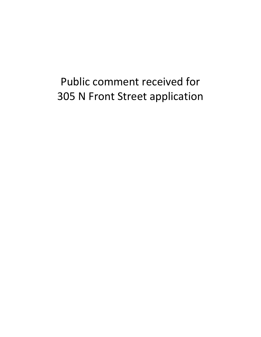## Public comment received for 305 N Front Street application